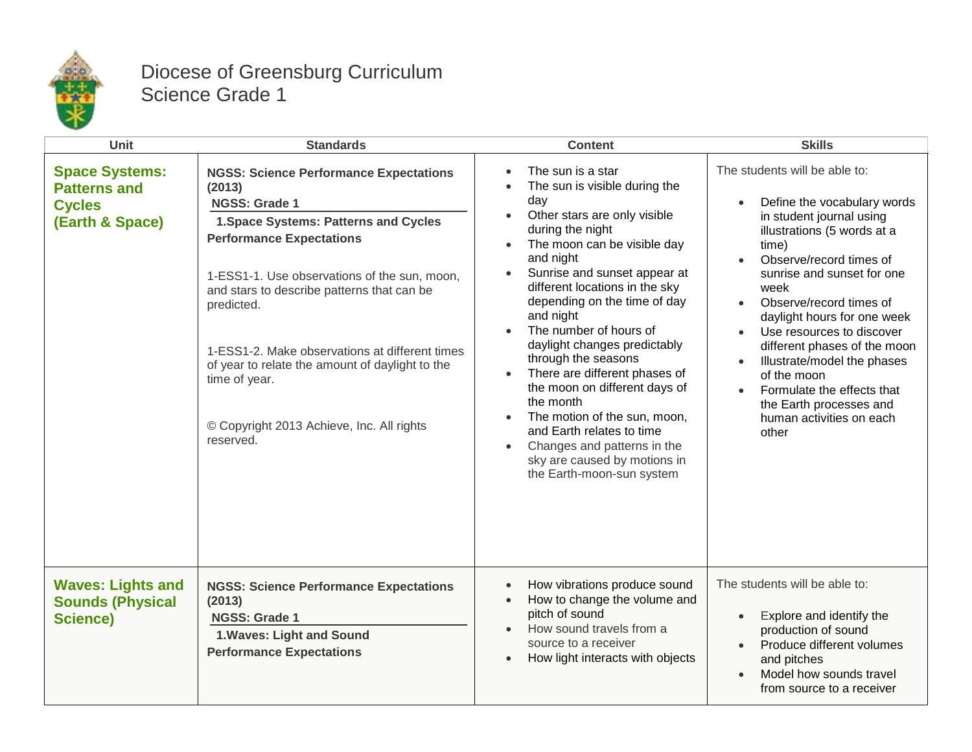

## Diocese of Greensburg Curriculum Science Grade 1

| <b>Unit</b>                                                                      | <b>Standards</b>                                                                                                                                                                                                                                                                                                                                                                                                                                 | <b>Content</b>                                                                                                                                                                                                                                                                                                                                                                                                                                                                                                                                                                                                 | <b>Skills</b>                                                                                                                                                                                                                                                                                                                                                                                                                                                        |
|----------------------------------------------------------------------------------|--------------------------------------------------------------------------------------------------------------------------------------------------------------------------------------------------------------------------------------------------------------------------------------------------------------------------------------------------------------------------------------------------------------------------------------------------|----------------------------------------------------------------------------------------------------------------------------------------------------------------------------------------------------------------------------------------------------------------------------------------------------------------------------------------------------------------------------------------------------------------------------------------------------------------------------------------------------------------------------------------------------------------------------------------------------------------|----------------------------------------------------------------------------------------------------------------------------------------------------------------------------------------------------------------------------------------------------------------------------------------------------------------------------------------------------------------------------------------------------------------------------------------------------------------------|
| <b>Space Systems:</b><br><b>Patterns and</b><br><b>Cycles</b><br>(Earth & Space) | <b>NGSS: Science Performance Expectations</b><br>(2013)<br>NGSS: Grade 1<br>1. Space Systems: Patterns and Cycles<br><b>Performance Expectations</b><br>1-ESS1-1. Use observations of the sun, moon,<br>and stars to describe patterns that can be<br>predicted.<br>1-ESS1-2. Make observations at different times<br>of year to relate the amount of daylight to the<br>time of year.<br>© Copyright 2013 Achieve, Inc. All rights<br>reserved. | The sun is a star<br>The sun is visible during the<br>day<br>Other stars are only visible<br>during the night<br>The moon can be visible day<br>and night<br>Sunrise and sunset appear at<br>different locations in the sky<br>depending on the time of day<br>and night<br>The number of hours of<br>daylight changes predictably<br>through the seasons<br>There are different phases of<br>the moon on different days of<br>the month<br>The motion of the sun, moon,<br>and Earth relates to time<br>Changes and patterns in the<br>$\bullet$<br>sky are caused by motions in<br>the Earth-moon-sun system | The students will be able to:<br>Define the vocabulary words<br>in student journal using<br>illustrations (5 words at a<br>time)<br>Observe/record times of<br>sunrise and sunset for one<br>week<br>Observe/record times of<br>daylight hours for one week<br>Use resources to discover<br>different phases of the moon<br>Illustrate/model the phases<br>of the moon<br>Formulate the effects that<br>the Earth processes and<br>human activities on each<br>other |
| <b>Waves: Lights and</b><br><b>Sounds (Physical</b><br><b>Science)</b>           | <b>NGSS: Science Performance Expectations</b><br>(2013)<br><b>NGSS: Grade 1</b><br>1. Waves: Light and Sound<br><b>Performance Expectations</b>                                                                                                                                                                                                                                                                                                  | How vibrations produce sound<br>How to change the volume and<br>$\bullet$<br>pitch of sound<br>How sound travels from a<br>source to a receiver<br>How light interacts with objects                                                                                                                                                                                                                                                                                                                                                                                                                            | The students will be able to:<br>Explore and identify the<br>$\bullet$<br>production of sound<br>Produce different volumes<br>$\bullet$<br>and pitches<br>Model how sounds travel<br>from source to a receiver                                                                                                                                                                                                                                                       |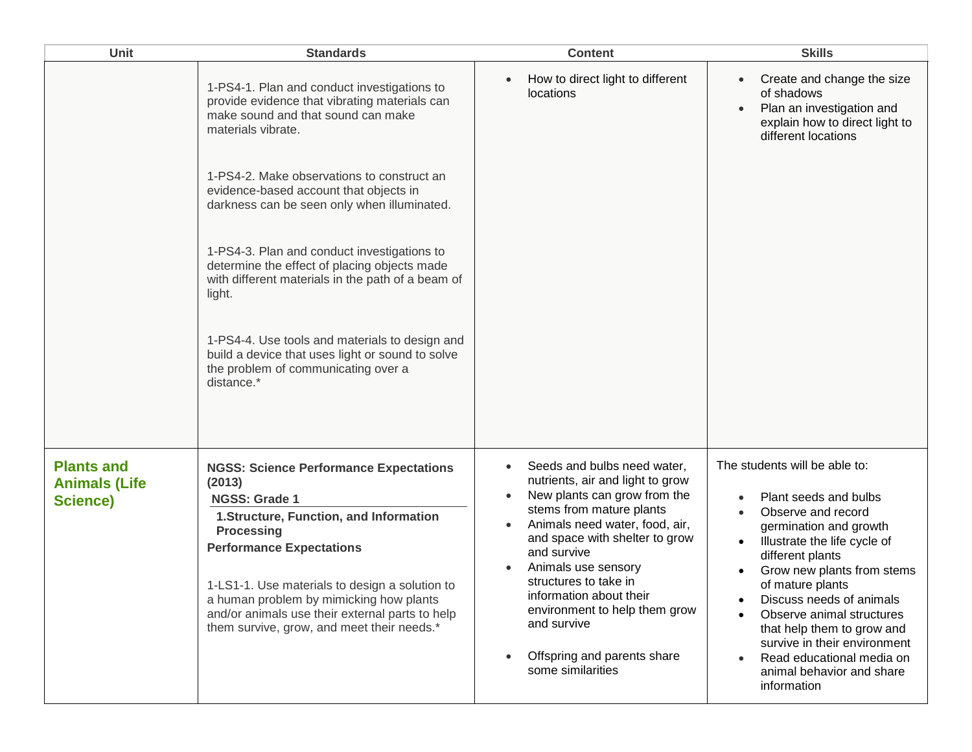| Unit                                                  | <b>Standards</b>                                                                                                                                                                                                                                                                                                                                                                                                                                                                                                                                                                                                         | <b>Content</b>                                                                                                                                                                                                                                                                                                                                                                                                          | <b>Skills</b>                                                                                                                                                                                                                                                                                                                                                                                                |
|-------------------------------------------------------|--------------------------------------------------------------------------------------------------------------------------------------------------------------------------------------------------------------------------------------------------------------------------------------------------------------------------------------------------------------------------------------------------------------------------------------------------------------------------------------------------------------------------------------------------------------------------------------------------------------------------|-------------------------------------------------------------------------------------------------------------------------------------------------------------------------------------------------------------------------------------------------------------------------------------------------------------------------------------------------------------------------------------------------------------------------|--------------------------------------------------------------------------------------------------------------------------------------------------------------------------------------------------------------------------------------------------------------------------------------------------------------------------------------------------------------------------------------------------------------|
|                                                       | 1-PS4-1. Plan and conduct investigations to<br>provide evidence that vibrating materials can<br>make sound and that sound can make<br>materials vibrate.<br>1-PS4-2. Make observations to construct an<br>evidence-based account that objects in<br>darkness can be seen only when illuminated.<br>1-PS4-3. Plan and conduct investigations to<br>determine the effect of placing objects made<br>with different materials in the path of a beam of<br>light.<br>1-PS4-4. Use tools and materials to design and<br>build a device that uses light or sound to solve<br>the problem of communicating over a<br>distance.* | How to direct light to different<br>locations                                                                                                                                                                                                                                                                                                                                                                           | Create and change the size<br>of shadows<br>Plan an investigation and<br>explain how to direct light to<br>different locations                                                                                                                                                                                                                                                                               |
| <b>Plants and</b><br><b>Animals (Life</b><br>Science) | <b>NGSS: Science Performance Expectations</b><br>(2013)<br><b>NGSS: Grade 1</b><br>1. Structure, Function, and Information<br><b>Processing</b><br><b>Performance Expectations</b><br>1-LS1-1. Use materials to design a solution to<br>a human problem by mimicking how plants<br>and/or animals use their external parts to help<br>them survive, grow, and meet their needs.*                                                                                                                                                                                                                                         | Seeds and bulbs need water,<br>$\bullet$<br>nutrients, air and light to grow<br>New plants can grow from the<br>stems from mature plants<br>Animals need water, food, air,<br>and space with shelter to grow<br>and survive<br>Animals use sensory<br>structures to take in<br>information about their<br>environment to help them grow<br>and survive<br>Offspring and parents share<br>$\bullet$<br>some similarities | The students will be able to:<br>Plant seeds and bulbs<br>Observe and record<br>germination and growth<br>Illustrate the life cycle of<br>different plants<br>Grow new plants from stems<br>of mature plants<br>Discuss needs of animals<br>Observe animal structures<br>that help them to grow and<br>survive in their environment<br>Read educational media on<br>animal behavior and share<br>information |